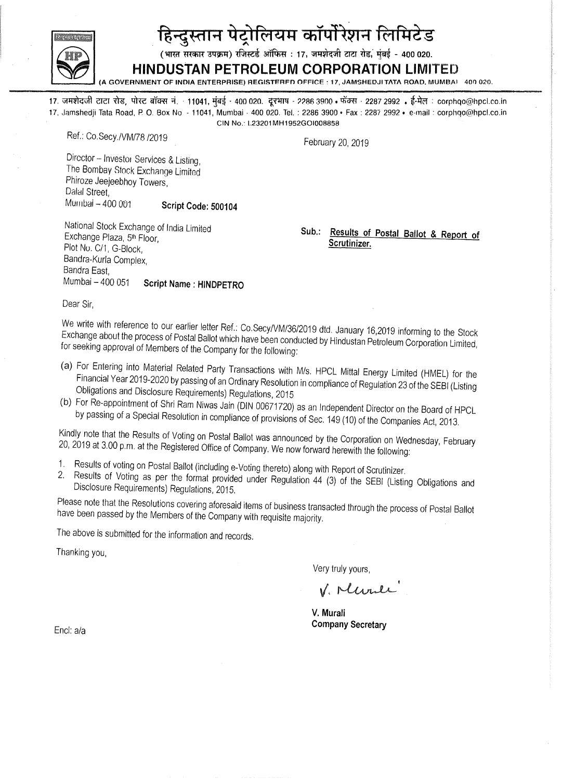

# हिन्दुस्तान पेट्रोलियम कॉर्पोरेशन लिमिटेड

(भारत सरकार उपक्रम) रजिस्टर्ड ऑफिस : 17, जमशेदजी टाटा रोड, मंबई - 400 020.

# **HINDUSTAN PETROLEUM CORPORATION LIMITED**

(A GOVERNMENT OF INDIA ENTERPRISE) REGISTERFD OFFICE : 17, JAMSHEDJI TATA ROAD, MUMBAI - 400 020.

17. जमशेदजी टाटा रोड, पोस्ट बॉक्स नं. · 11041, मुंबई - 400 020. दूरभाष - 2286 3900 • फॅक्स - 2287 2992 • ई-मेल : corphqo@hpcl.co.in<br>17. Jamshedji Tata Road, P. O. Box No. - 11041, Mumbai - 400 020. Tel. : 2286 3900 • Fax , CIN No.: L23201MH1952GOlO08858

Ref.: Co.Secy./VM/78 /2019

February 20,2019

Director - Investor Services & Listing, The Bombay Stock Exchange Limited Phiroze Jeejeebhoy Towers, Dalal Street, MUlilbai - 400001 **Script Code: 500104** 

National Stock Exchange of India Limited Exchange Plaza, 5th Floor, Plot No. CI1, G-Block, Bandra-Kurla Complex, Bandra East, Mumbai - 400 051 **Script Name: HINDPETRO** 

**SUb.: Results of Postal Ballot & Report of Scrutinizer.** 

Dear Sir,

We write with reference to our earlier letter Ref.: Co.Secy/VM/36/2019 dtd. January 16,2019 informing to the Stock Exchange about the process of Postal Ballot which have been conducted by Hindustan Petroleum Corporation Limited, for seeking approval of Members of the Company for the following:

- (a) For Entering into Material Related Party Transactions with Mis. HPCL Mittal Energy Limited (HMEL) for the Financial Year 2019-2020 by passing of an Ordinary Resolution in compliance of Regulation 23 of the SEBI (Listing Obligations and Disclosure Requirements) Regulations, 2015
- (b) For Re-appointment of Shri Ram Niwas Jain (DIN 00671720) as an Independent Director on the Board of HPCL by passing of a Special Resolution in compliance of provisions of Sec. 149 (10) of the Companies Act, 2013.

Kindly note that the Results of Voting on Postal Ballot was announced by the Corporation on Wednesday, February 20,2019 at 3.00 p.m. at the Registered Office of Company. We now forward herewith the following:

- 1. Results of voting on Postal Ballot (including e-Voting thereto) along with Report of Scrutinizer.<br>2. Results of Voting as ner the format provided under Perulaties 44.60 for the STR was
- Results of Voting as per the format provided under Regulation 44 (3) of the SEBI (Listing Obligations and Disclosure Requirements) Regulations, 2015.

Please note that the Resolutions covering aforesaid items of business transacted through the process of Postal Ballot have been passed by the Members of the Company with requisite majority.

The above is submitted for the information and records.

Thanking you,

Very truly yours,

V. Murle

**V. Murali**  End: ala **Company Secretary**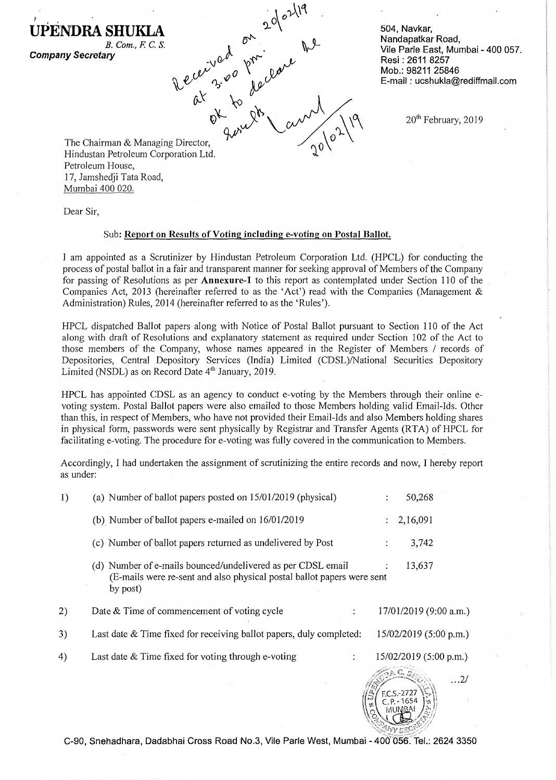*B. Com.,* F. C. S. **Company Secretary** 

**UPENDRASHUKLA** 

504, Navkar, Nandapatkar Road, Vile Parle East, Mumbai - 400 057. Resi : 2611 8257 Mob.: 98211 25846 E-mail: ucshukla@rediffmail.com

20<sup>th</sup> February, 2019

The Chairman & Managing Hindustan Petroleum Corporation Director,  $v_{\rm tot}$  and  $\frac{1}{2}$ Petroleum House, 17, Jamshedji Tata Road, Mumbai 400 020.

Dear Sir,

#### Sub: Report on Results of Voting including e-voting on Postal Ballot.

I am appointed as a Scrutinizer by Hindustan Petroleum Corporation Ltd. (HPCL) for conducting the process of postal ballot in a fair and transparent manner for seeking approval of Members of the Company for passing of Resolutions as per **Annexure-1** to this report as contemplated under Section 110 of the Companies Act, 2013 (hereinafter referred to as the 'Act') read with the Companies (Management & Administration) Rules, 2014 (hereinafter referred to as the 'Rules').

 $2^{\alpha}e^{\lambda l}$ 

 $\lambda$ <sup> $\sigma^2$ </sup>  $\mu^2$ 

 $\alpha^k$  to  $\alpha^k$  and  $\alpha^k$ 

 $\mathcal{P}'$  and  $\mathcal{P}'$ 

 $\lambda e^{i\ell x}$  3.00  $\lambda e^{i\ell x}$ 

HPCL dispatched Ballot papers along with Notice of Postal Ballot pursuant to Section 110 of the Act along with draft of Resolutions and explanatory statement as required under Section 102 of the Act to those members of the Company, whose names appeared in the Register of Members / records of Depositories, Central Depository Services (India) Limited (CDSL)/National Securities Depository Limited (NSDL) as on Record Date 4<sup>th</sup> January, 2019.

HPCL has appointed CDSL as an agency to conduct e-voting by the Members through their online evoting system. Postal Ballot papers were also emailed to those Members holding valid Email-Ids. Other than this, in respect of Members, who have not provided their Email-Ids and also Members holding shares in physical form, passwords were sent physically by Registrar and Transfer Agents (RTA) of HPCL for facilitating e-voting. The procedure for e-voting was fully covered in the communication to Members.

Accordingly, I had undertaken the assignment of scrutinizing the entire records and now, I hereby report as under:

| 1) | (a) Number of ballot papers posted on 15/01/2019 (physical)                                                                                       |   | 50,268                   |            |
|----|---------------------------------------------------------------------------------------------------------------------------------------------------|---|--------------------------|------------|
|    | (b) Number of ballot papers e-mailed on 16/01/2019                                                                                                |   | 2,16,091                 |            |
|    | (c) Number of ballot papers returned as undelivered by Post                                                                                       | ÷ | 3,742                    |            |
|    | (d) Number of e-mails bounced/undelivered as per CDSL email<br>(E-mails were re-sent and also physical postal ballot papers were sent<br>by post) |   | 13,637                   |            |
| 2) | Date & Time of commencement of voting cycle                                                                                                       |   | $17/01/2019$ (9:00 a.m.) |            |
| 3) | Last date & Time fixed for receiving ballot papers, duly completed:                                                                               |   | 15/02/2019 (5:00 p.m.)   |            |
| 4) | Last date $&$ Time fixed for voting through e-voting<br>÷                                                                                         |   | 15/02/2019 (5:00 p.m.)   |            |
|    |                                                                                                                                                   |   | áp. C. s                 | $\dots$ 2/ |

C-90, Snehadhara, Dadabhai Cross Road No.3, Vile Parle West, Mumbai - 400 056. Tel.: 2624 3350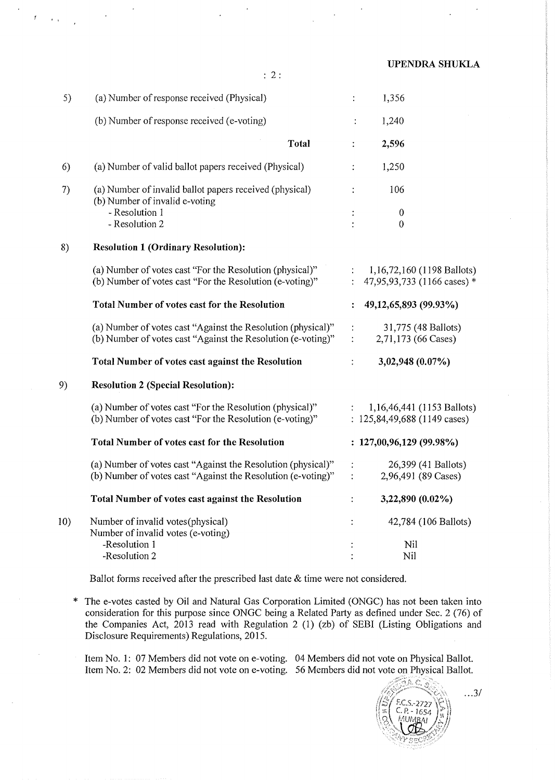| UPENDRA SHUKLA |  |
|----------------|--|
|----------------|--|

|  | × |
|--|---|
|  |   |

..

| 5)  | (a) Number of response received (Physical)                                                                                   | 1,356<br>$\ddot{\cdot}$                                                           |
|-----|------------------------------------------------------------------------------------------------------------------------------|-----------------------------------------------------------------------------------|
|     | (b) Number of response received (e-voting)                                                                                   | 1,240<br>$\ddot{\phantom{a}}$                                                     |
|     | <b>Total</b>                                                                                                                 | 2,596<br>$\ddot{\cdot}$                                                           |
| 6)  | (a) Number of valid ballot papers received (Physical)                                                                        | 1,250                                                                             |
| 7)  | (a) Number of invalid ballot papers received (physical)<br>(b) Number of invalid e-voting                                    | 106                                                                               |
|     | - Resolution 1<br>- Resolution 2                                                                                             | $\boldsymbol{0}$<br>0                                                             |
| 8)  | <b>Resolution 1 (Ordinary Resolution):</b>                                                                                   |                                                                                   |
|     | (a) Number of votes cast "For the Resolution (physical)"<br>(b) Number of votes cast "For the Resolution (e-voting)"         | $\ddot{\cdot}$<br>1,16,72,160 (1198 Ballots)<br>47,95,93,733 (1166 cases) *       |
|     | <b>Total Number of votes cast for the Resolution</b>                                                                         | 49,12,65,893 (99.93%)<br>$\ddot{\cdot}$                                           |
|     | (a) Number of votes cast "Against the Resolution (physical)"<br>(b) Number of votes cast "Against the Resolution (e-voting)" | 31,775 (48 Ballots)<br>$\ddot{\cdot}$<br>2,71,173 (66 Cases)<br>$\ddot{\cdot}$    |
|     | Total Number of votes cast against the Resolution                                                                            | 3,02,948 (0.07%)<br>÷                                                             |
| 9)  | <b>Resolution 2 (Special Resolution):</b>                                                                                    |                                                                                   |
|     | (a) Number of votes cast "For the Resolution (physical)"<br>(b) Number of votes cast "For the Resolution (e-voting)"         | 1,16,46,441 (1153 Ballots)<br>$\ddot{\ddot{z}}$<br>: $125,84,49,688$ (1149 cases) |
|     | <b>Total Number of votes cast for the Resolution</b>                                                                         | : 127,00,96,129(99.98%)                                                           |
|     | (a) Number of votes cast "Against the Resolution (physical)"<br>(b) Number of votes cast "Against the Resolution (e-voting)" | 26,399 (41 Ballots)<br>$\ddot{\cdot}$<br>2,96,491 (89 Cases)<br>$\ddot{\cdot}$    |
|     | Total Number of votes cast against the Resolution                                                                            | 3,22,890 (0.02%)<br>$\ddot{\cdot}$                                                |
| 10) | Number of invalid votes (physical)<br>Number of invalid votes (e-voting)                                                     | 42,784 (106 Ballots)<br>$\ddot{\cdot}$                                            |
|     | -Resolution 1<br>-Resolution 2                                                                                               | Nil<br>Nil                                                                        |

Ballot forms received after the prescribed last date & time were not considered.

\* The e-votes casted by Oil and Natural Gas Corporation Limited (ONGC) has not been taken into consideration for this purpose since ONGC being a Related Party as defined under Sec. 2 (76) of the Companies Act, 2013 read with Regulation 2 (1) (zb) of SEBI (Listing Obligations and Disclosure Requirements) Regulations, 2015.

Item No.1: 07 Members did not vote on e-voting. 04 Members did not vote on Physical Ballot. Item No.2: 02 Members did not vote on e-voting. 56 Members did not vote on Physical Ballot.

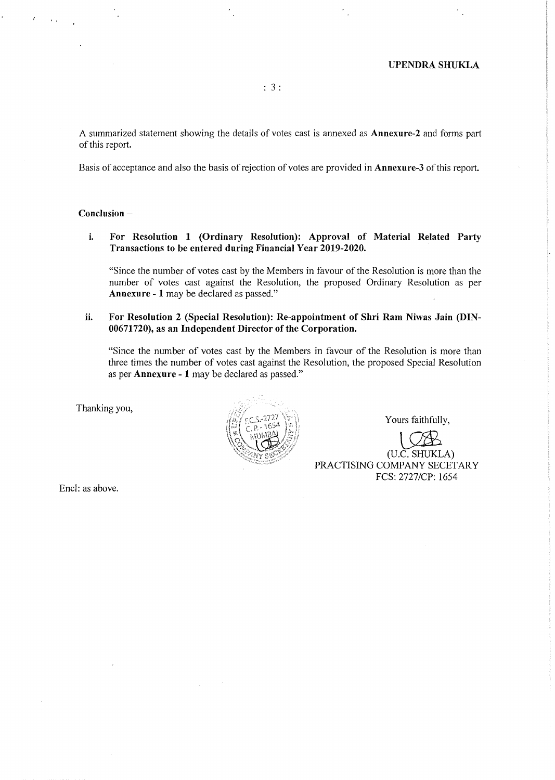A summarized statement showing the details of votes cast is annexed as **Annexure-2** and forms part of this report.

Basis of acceptance and also the basis of rejection of votes are provided in **Annexure-3** of this report.

## **Conclusion -**

**i. For Resolution 1 (Ordinary Resolution): Approval of Material Related Party Transactions to be entered during Financial Year 2019-2020.** 

"Since the number of votes cast by the Members in favour of the Resolution is more than the number of votes cast against the Resolution, the proposed Ordinary Resolution as per **Annexure** - 1 may be declared as passed."

**ii. For Resolution 2 (Special Resolution): Re-appointment of Shri Ram Niwas Jain (DIN-00671720), as an Independent Director of the Corporation.** 

"Since the number of votes cast by the Members in favour of the Resolution is more than three times the number of votes cast against the Resolution, the proposed Special Resolution as per **Annexure - 1** may be declared as passed."

Thanking you,



Yours faithfully,

LQ£ (U.C. SHUKLA) PRACTISING COMPANY SECETARY FCS: 2727/CP: 1654

Encl: as above.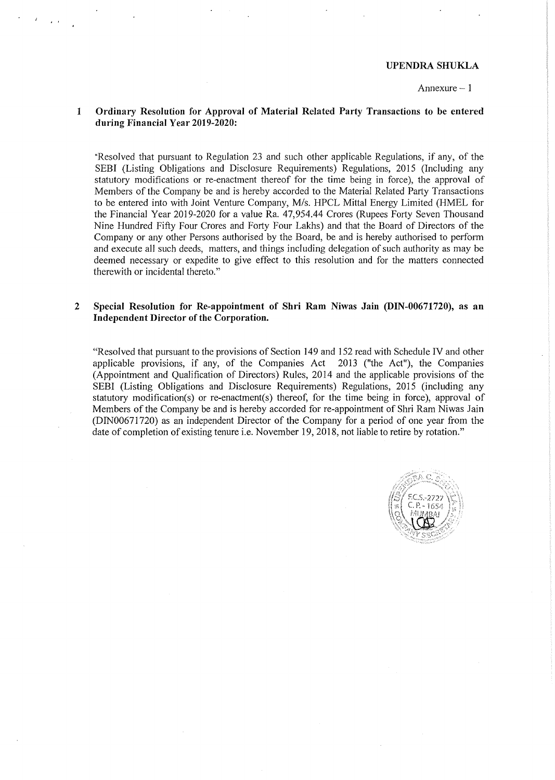#### UPENDRA SHUKLA

#### Annexure  $-1$

#### 1 Ordinary Resolution for Approval of Material Related Party Transactions to be entered during Financial Year 2019-2020:

"Resolved that pursuant to Regulation 23 and such other applicable Regulations, if any, of the SEBI (Listing Obligations and Disclosure Requirements) Regulations, 2015 (Including any statutory modifications or re-enactment thereof for the time being in force), the approval of Members of the Company be and is hereby accorded to the Material Related Party Transactions to be entered into with Joint Venture Company, M/s. HPCL Mittal Energy Limited (HMEL for the Financial Year 2019-2020 for a value Ra. 47,954.44 Crores (Rupees Forty Seven Thousand Nine Hundred Fifty Four Crores and Forty Four Lakhs) and that the Board of Directors of the Company or any other Persons authorised by the Board, be and is hereby authorised to perform and execute all such deeds, matters, and things including delegation of such authority as may be deemed necessary or expedite to give effect to this resolution and for the matters connected therewith or incidental thereto."

#### 2 Special Resolution for Re-appointment of Shri Ram Niwas Jain (DIN-00671720), as an Independent Director of the Corporation.

"Resolved that pursuant to the provisions of Section 149 and 152 read with Schedule IV and other applicable provisions, if any, of the Companies  $Act$  2013 ("the Act"), the Companies (Appointment and Qualification of Directors) Rules, 2014 and the applicable provisions of the SEBI (Listing Obligations and Disclosure Requirements) Regulations, 2015 (including any statutory modification(s) or re-enactment(s) thereof, for the time being in force), approval of Members of the Company be and is hereby accorded for re-appointment of Shri Ram Niwas Jain (DIN00671720) as an independent Director of the Company for a period of one year from the date of completion of existing tenure i.e. November 19, 2018, not liable to retire by rotation."

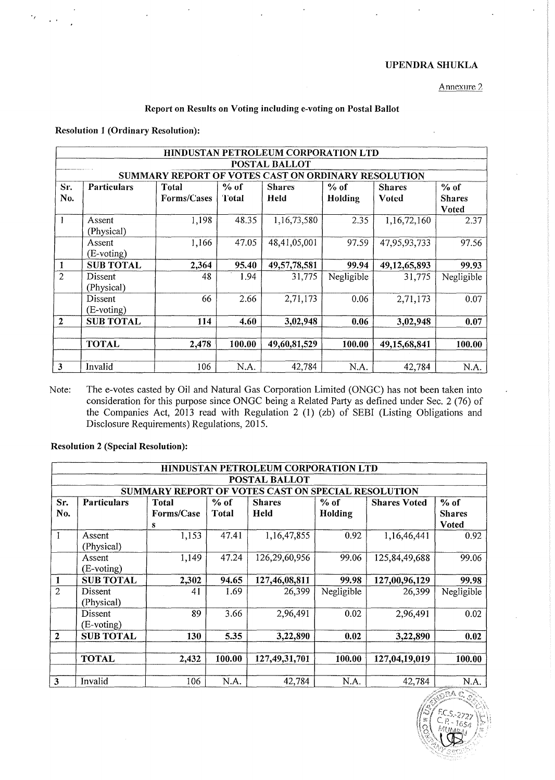# UPENDRASHUKLA

Annexure 2

#### Report on Results on Voting including e-voting on Postal Ballot

## Resolution 1 (Ordinary Resolution):

|                                                               | HINDUSTAN PETROLEUM CORPORATION LTD                                             |             |        |              |            |              |               |  |  |  |  |  |
|---------------------------------------------------------------|---------------------------------------------------------------------------------|-------------|--------|--------------|------------|--------------|---------------|--|--|--|--|--|
| <b>POSTAL BALLOT</b>                                          |                                                                                 |             |        |              |            |              |               |  |  |  |  |  |
| SUMMARY REPORT OF VOTES CAST ON ORDINARY RESOLUTION<br>$%$ of |                                                                                 |             |        |              |            |              |               |  |  |  |  |  |
| Sr.                                                           | % of<br><b>Particulars</b><br>$%$ of<br>Total<br><b>Shares</b><br><b>Shares</b> |             |        |              |            |              |               |  |  |  |  |  |
| No.                                                           |                                                                                 | Forms/Cases | Total  | Held         | Holding    | Voted        | <b>Shares</b> |  |  |  |  |  |
|                                                               |                                                                                 |             |        |              |            |              | <b>Voted</b>  |  |  |  |  |  |
|                                                               | Assent                                                                          | 1,198       | 48.35  | 1,16,73,580  | 2.35       | 1,16,72,160  | 2.37          |  |  |  |  |  |
|                                                               | (Physical)                                                                      |             |        |              |            |              |               |  |  |  |  |  |
|                                                               | Assent                                                                          | 1,166       | 47.05  | 48,41,05,001 | 97.59      | 47,95,93,733 | 97.56         |  |  |  |  |  |
|                                                               | $(E-voting)$                                                                    |             |        |              |            |              |               |  |  |  |  |  |
|                                                               | <b>SUB TOTAL</b>                                                                | 2,364       | 95.40  | 49,57,78,581 | 99.94      | 49,12,65,893 | 99.93         |  |  |  |  |  |
| $\overline{2}$                                                | Dissent                                                                         | 48          | 1.94   | 31,775       | Negligible | 31,775       | Negligible    |  |  |  |  |  |
|                                                               | (Physical)                                                                      |             |        |              |            |              |               |  |  |  |  |  |
|                                                               | Dissent                                                                         | 66          | 2.66   | 2,71,173     | 0.06       | 2,71,173     | 0.07          |  |  |  |  |  |
|                                                               | (E-voting)                                                                      |             |        |              |            |              |               |  |  |  |  |  |
| $\mathbf{2}$                                                  | <b>SUB TOTAL</b>                                                                | 114         | 4.60   | 3,02,948     | 0.06       | 3,02,948     | 0.07          |  |  |  |  |  |
|                                                               |                                                                                 |             |        |              |            |              |               |  |  |  |  |  |
|                                                               | <b>TOTAL</b>                                                                    | 2,478       | 100.00 | 49,60,81,529 | 100.00     | 49,15,68,841 | 100.00        |  |  |  |  |  |
|                                                               |                                                                                 |             |        |              |            |              |               |  |  |  |  |  |
| 3                                                             | Invalid                                                                         | 106         | N.A.   | 42,784       | N.A.       | 42,784       | N.A.          |  |  |  |  |  |

Note: The e-votes casted by Oil and Natural Gas Corporation Limited (ONGC) has not been taken into consideration for this purpose since ONGC being a Related Party as defined under Sec. 2 (76) of the Companies Act, 2013 read with Regulation 2 (1) (zb) of SEBI (Listing Obligations and Disclosure Requirements) Regulations, 2015.

#### Resolution 2 (Special Resolution):

| HINDUSTAN PETROLEUM CORPORATION LTD                |                                                                                                |            |        |                  |            |               |               |  |  |  |  |
|----------------------------------------------------|------------------------------------------------------------------------------------------------|------------|--------|------------------|------------|---------------|---------------|--|--|--|--|
| POSTAL BALLOT                                      |                                                                                                |            |        |                  |            |               |               |  |  |  |  |
| SUMMARY REPORT OF VOTES CAST ON SPECIAL RESOLUTION |                                                                                                |            |        |                  |            |               |               |  |  |  |  |
| Sr.                                                | <b>Particulars</b><br>$%$ of<br>$%$ of<br><b>Total</b><br><b>Shares</b><br><b>Shares Voted</b> |            |        |                  |            |               |               |  |  |  |  |
| No.                                                |                                                                                                | Forms/Case | Total  | Held             | Holding    |               | <b>Shares</b> |  |  |  |  |
|                                                    |                                                                                                | s          |        |                  |            |               | <b>Voted</b>  |  |  |  |  |
| 1                                                  | Assent                                                                                         | 1,153      | 47.41  | 1,16,47,855      | 0.92       | 1,16,46,441   | 0.92          |  |  |  |  |
|                                                    | (Physical)                                                                                     |            |        |                  |            |               |               |  |  |  |  |
|                                                    | Assent                                                                                         | 1,149      | 47.24  | 126,29,60,956    | 99.06      | 125,84,49,688 | 99.06         |  |  |  |  |
|                                                    | (E-voting)                                                                                     |            |        |                  |            |               |               |  |  |  |  |
| 1                                                  | <b>SUB TOTAL</b>                                                                               | 2,302      | 94.65  | 127,46,08,811    | 99.98      | 127,00,96,129 | 99.98         |  |  |  |  |
| $\overline{2}$                                     | Dissent                                                                                        | 41         | 1.69   | 26,399           | Negligible | 26,399        | Negligible    |  |  |  |  |
|                                                    | (Physical)                                                                                     |            |        |                  |            |               |               |  |  |  |  |
|                                                    | Dissent                                                                                        | 89         | 3.66   | 2,96,491         | 0.02       | 2,96,491      | 0.02          |  |  |  |  |
|                                                    | $(E\text{-voting})$                                                                            |            |        |                  |            |               |               |  |  |  |  |
| $\mathbf{2}$                                       | <b>SUB TOTAL</b>                                                                               | 130        | 5.35   | 3,22,890         | 0.02       | 3,22,890      | 0.02          |  |  |  |  |
|                                                    |                                                                                                |            |        |                  |            |               |               |  |  |  |  |
|                                                    | <b>TOTAL</b>                                                                                   | 2,432      | 100.00 | 127, 49, 31, 701 | 100.00     | 127,04,19,019 | 100.00        |  |  |  |  |
|                                                    |                                                                                                |            |        |                  |            |               |               |  |  |  |  |
| 3                                                  | Invalid                                                                                        | 106        | N.A.   | 42,784           | N.A.       | 42,784        | N.A.          |  |  |  |  |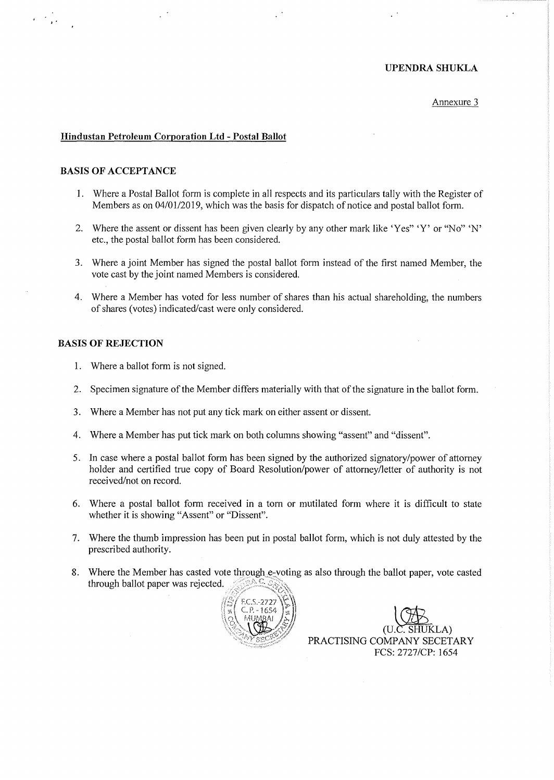#### **UPENDRASHUKLA**

#### Annexure 3

#### **Hindustan Petroleum Corporation Ltd - Postal Ballot**

#### **BASIS OF ACCEPTANCE**

, .

- 1. Where a Postal Ballot form is complete in all respects and its particulars tally with the Register of Members as on 04/01/2019, which was the basis for dispatch of notice and postal ballot form.
- 2. Where the assent or dissent has been given clearly by any other mark like 'Yes" 'Y' or "No" 'N' etc., the postal ballot form has been considered.
- 3. Where a joint Member has signed the postal ballot form instead of the first named Member, the vote cast by the joint named Members is considered.
- 4. Where a Member has voted for less number of shares than his actual shareholding, the numbers of shares (votes) indicated/cast were only considered.

#### **BASIS OF REJECTION**

- 1. Where a ballot form is not signed.
- 2. Specimen signature of the Member differs materially with that of the signature in the ballot form.
- 3. Where a Member has not put any tick mark on either assent or dissent.
- 4. Where a Member has put tick mark on both columns showing "assent" and "dissent".
- 5. In case where a postal ballot form has been signed by the authorized signatory/power of attorney holder and certified true copy of Board Resolution/power of attorney/letter of authority is not received/not on record.
- 6. Where a postal ballot form received in a torn or mutilated form where it is difficult to state whether it is showing "Assent" or "Dissent".
- 7. Where the thumb impression has been put in postal ballot form, which is not duly attested by the prescribed authority.
- 8. Where the Member has casted vote through e-voting as also through the ballot paper, vote casted through ballot paper was rejected.



(U.C. SHUKLA)<br>PRACTISING COMPANY SECETARY PCS: 2727/CP: 1654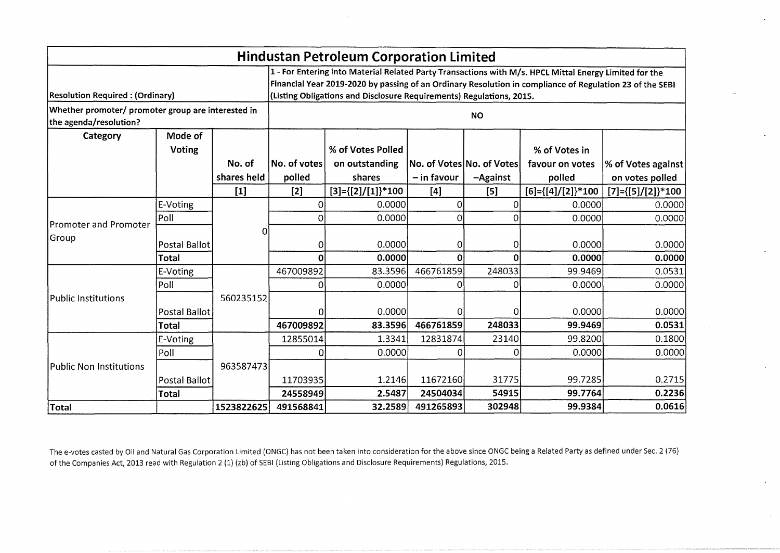| <b>Hindustan Petroleum Corporation Limited</b>                               |                                                                                                                                                                                                                                                                                            |             |              |                               |               |                           |                               |                               |
|------------------------------------------------------------------------------|--------------------------------------------------------------------------------------------------------------------------------------------------------------------------------------------------------------------------------------------------------------------------------------------|-------------|--------------|-------------------------------|---------------|---------------------------|-------------------------------|-------------------------------|
| <b>Resolution Required: (Ordinary)</b>                                       | 1 - For Entering into Material Related Party Transactions with M/s. HPCL Mittal Energy Limited for the<br>Financial Year 2019-2020 by passing of an Ordinary Resolution in compliance of Regulation 23 of the SEBI<br>(Listing Obligations and Disclosure Requirements) Regulations, 2015. |             |              |                               |               |                           |                               |                               |
| Whether promoter/ promoter group are interested in<br>the agenda/resolution? |                                                                                                                                                                                                                                                                                            |             |              |                               |               | <b>NO</b>                 |                               |                               |
| Category                                                                     | Mode of                                                                                                                                                                                                                                                                                    |             |              |                               |               |                           |                               |                               |
|                                                                              | Voting                                                                                                                                                                                                                                                                                     |             |              | % of Votes Polled             |               |                           | % of Votes in                 |                               |
|                                                                              |                                                                                                                                                                                                                                                                                            | No. of      | No. of votes | on outstanding                |               | No. of Votes No. of Votes | favour on votes               | % of Votes against            |
|                                                                              |                                                                                                                                                                                                                                                                                            | shares held | polled       | shares                        | $-$ in favour | $-A$ gainst               | polled                        | on votes polled               |
|                                                                              |                                                                                                                                                                                                                                                                                            | $[1]$       | $[2]$        | $[3] = \{ [2] / [1] \}^* 100$ | $[4]$         | [5]                       | $[6] = \{ [4] / [2] \} * 100$ | $[7] = \{ [5] / [2] \} * 100$ |
|                                                                              | E-Voting                                                                                                                                                                                                                                                                                   |             | 0            | 0.0000                        | $\Omega$      | 0                         | 0.0000                        | 0.0000                        |
| Promoter and Promoter                                                        | Poll                                                                                                                                                                                                                                                                                       |             | $\Omega$     | 0.0000                        | $\Omega$      | O                         | 0.0000                        | 0.0000                        |
| Group                                                                        | <b>Postal Ballot</b>                                                                                                                                                                                                                                                                       | O.          | 0            | 0.0000                        | $\Omega$      | 0                         | 0.0000                        | 0.0000                        |
|                                                                              | <b>Total</b>                                                                                                                                                                                                                                                                               |             | U            | 0.0000                        | 0             | റ                         | 0.0000                        | 0.0000                        |
|                                                                              | E-Voting                                                                                                                                                                                                                                                                                   |             | 467009892    | 83.3596                       | 466761859     | 248033                    | 99.9469                       | 0.0531                        |
|                                                                              | Poll                                                                                                                                                                                                                                                                                       |             | 0            | 0.0000                        | 0             | 0                         | 0.0000                        | 0.0000                        |
| Public Institutions                                                          |                                                                                                                                                                                                                                                                                            | 560235152   |              |                               |               |                           |                               |                               |
|                                                                              | <b>Postal Ballot</b>                                                                                                                                                                                                                                                                       |             |              | 0.0000                        | Ω             | <sup>0</sup>              | 0.0000                        | 0.0000                        |
|                                                                              | <b>Total</b>                                                                                                                                                                                                                                                                               |             | 467009892    | 83.3596                       | 466761859     | 248033                    | 99.9469                       | 0.0531                        |
|                                                                              | E-Voting                                                                                                                                                                                                                                                                                   |             | 12855014     | 1.3341                        | 12831874      | 23140                     | 99.8200                       | 0.1800                        |
|                                                                              | Poll                                                                                                                                                                                                                                                                                       |             |              | 0.0000                        | O             | Ω                         | 0.0000                        | 0.0000                        |
| <b>Public Non Institutions</b>                                               |                                                                                                                                                                                                                                                                                            | 963587473   |              |                               |               |                           |                               |                               |
|                                                                              | <b>Postal Ballot</b>                                                                                                                                                                                                                                                                       |             | 11703935     | 1.2146                        | 11672160      | 31775                     | 99.7285                       | 0.2715                        |
|                                                                              | <b>Total</b>                                                                                                                                                                                                                                                                               |             | 24558949     | 2.5487                        | 24504034      | 54915                     | 99.7764                       | 0.2236                        |
| <b>Total</b>                                                                 |                                                                                                                                                                                                                                                                                            | 1523822625  | 491568841    | 32.2589                       | 491265893     | 302948                    | 99.9384                       | 0.0616                        |

The e-votes casted by Oil and Natural Gas Corporation Limited (ONGC) has not been taken into consideration for the above since ONGC being a Related Party as defined under Sec. 2 (76) of the Companies Act, 2013 read with Regulation 2 (1) (zb) of SEBI (Listing Obligations and Disclosure Requirements) Regulations, 2015.

 $\mathcal{A}$ 

 $\sim$ 

 $\sim$